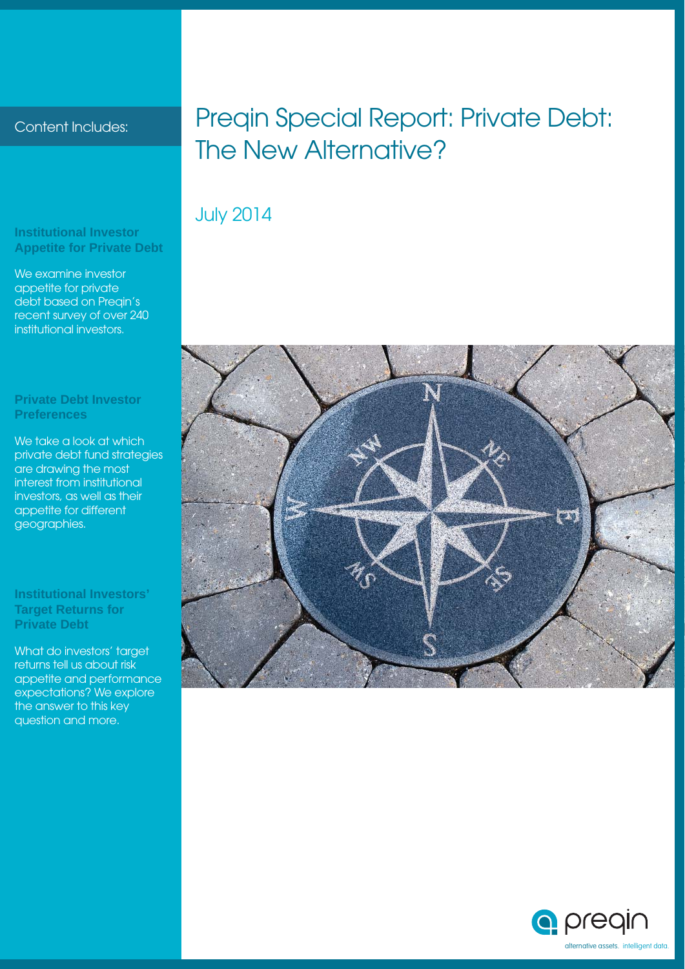#### Content Includes:

#### **Institutional Investor Appetite for Private Debt**

We examine investor appetite for private debt based on Preqin's recent survey of over 240 institutional investors.

#### **Private Debt Investor Preferences**

We take a look at which private debt fund strategies are drawing the most interest from institutional investors, as well as their appetite for different geographies.

#### **Institutional Investors' Target Returns for Private Debt**

What do investors' target returns tell us about risk appetite and performance expectations? We explore the answer to this key question and more.

### Preqin Special Report: Private Debt: The New Alternative?

### July 2014



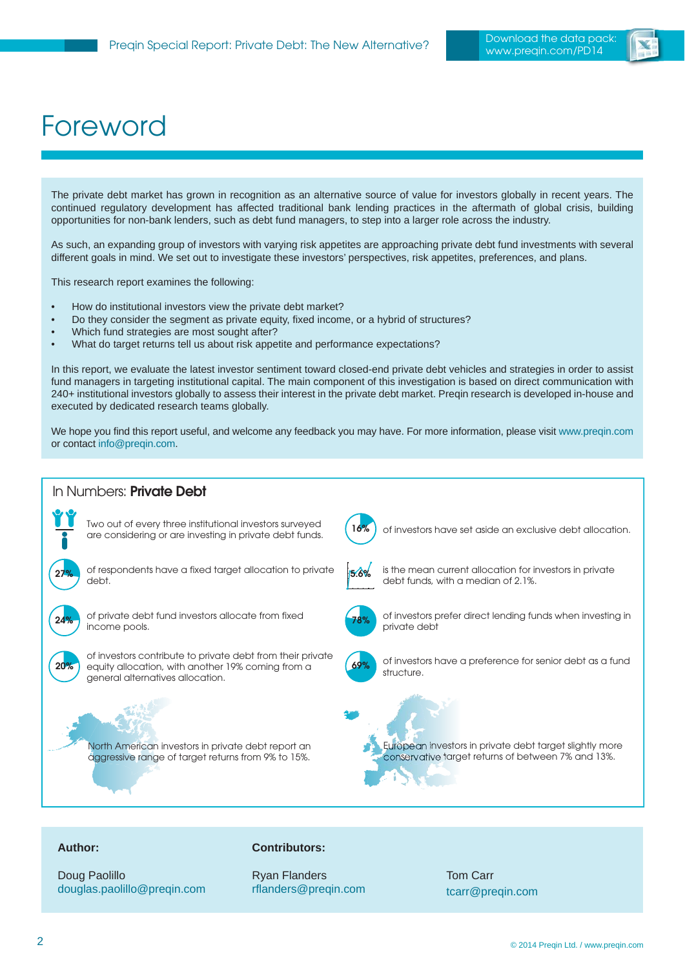

# Foreword

The private debt market has grown in recognition as an alternative source of value for investors globally in recent years. The continued regulatory development has affected traditional bank lending practices in the aftermath of global crisis, building opportunities for non-bank lenders, such as debt fund managers, to step into a larger role across the industry.

As such, an expanding group of investors with varying risk appetites are approaching private debt fund investments with several different goals in mind. We set out to investigate these investors' perspectives, risk appetites, preferences, and plans.

This research report examines the following:

- How do institutional investors view the private debt market?
- Do they consider the segment as private equity, fixed income, or a hybrid of structures?
- Which fund strategies are most sought after?
- What do target returns tell us about risk appetite and performance expectations?

In this report, we evaluate the latest investor sentiment toward closed-end private debt vehicles and strategies in order to assist fund managers in targeting institutional capital. The main component of this investigation is based on direct communication with 240+ institutional investors globally to assess their interest in the private debt market. Preqin research is developed in-house and executed by dedicated research teams globally.

We hope you find this report useful, and welcome any feedback you may have. For more information, please visit<www.preqin.com> or contac[t info@preqin.com.](mailto:info@preqin.com) 



#### **Author:**

Doug Paolillo [douglas.paolillo@preqin.com](mailto:douglaspaolillo@preqin.com)

#### **Contributors:**

Ryan Flanders rflanders@preqin.com

Tom Carr [tcarr@preqin.com](mailto:tcarr@preqin.com)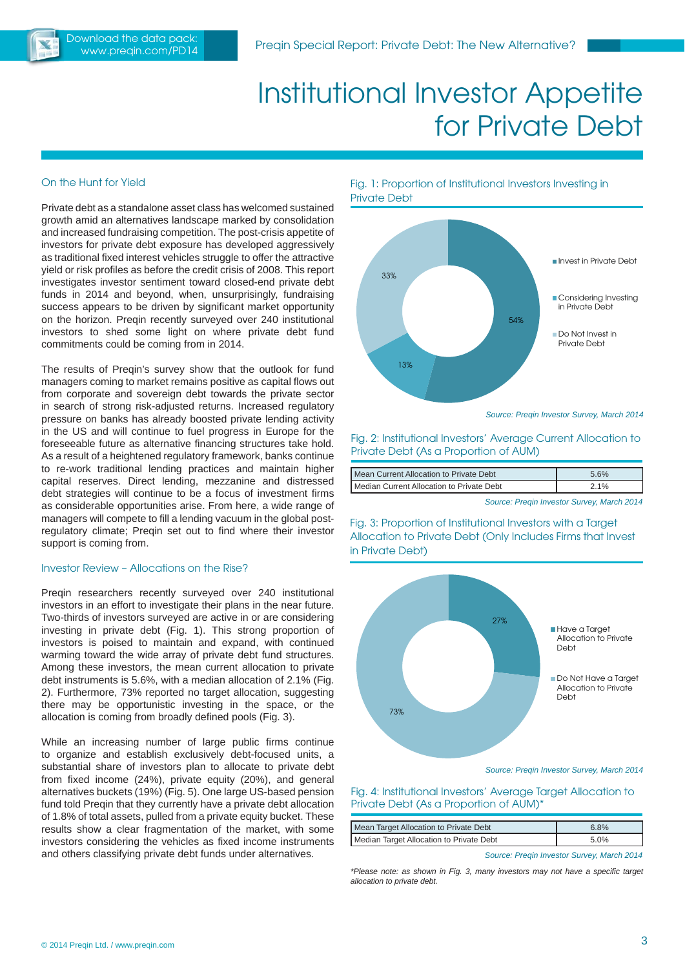

# Institutional Investor Appetite for Private Debt

#### On the Hunt for Yield

Private debt as a standalone asset class has welcomed sustained growth amid an alternatives landscape marked by consolidation and increased fundraising competition. The post-crisis appetite of investors for private debt exposure has developed aggressively as traditional fixed interest vehicles struggle to offer the attractive yield or risk profiles as before the credit crisis of 2008. This report investigates investor sentiment toward closed-end private debt funds in 2014 and beyond, when, unsurprisingly, fundraising success appears to be driven by significant market opportunity on the horizon. Preqin recently surveyed over 240 institutional investors to shed some light on where private debt fund commitments could be coming from in 2014.

The results of Preqin's survey show that the outlook for fund managers coming to market remains positive as capital flows out from corporate and sovereign debt towards the private sector in search of strong risk-adjusted returns. Increased regulatory pressure on banks has already boosted private lending activity in the US and will continue to fuel progress in Europe for the foreseeable future as alternative financing structures take hold. As a result of a heightened regulatory framework, banks continue to re-work traditional lending practices and maintain higher capital reserves. Direct lending, mezzanine and distressed debt strategies will continue to be a focus of investment firms as considerable opportunities arise. From here, a wide range of managers will compete to fill a lending vacuum in the global postregulatory climate; Preqin set out to find where their investor support is coming from.

#### Investor Review – Allocations on the Rise?

Preqin researchers recently surveyed over 240 institutional investors in an effort to investigate their plans in the near future. Two-thirds of investors surveyed are active in or are considering investing in private debt (Fig. 1). This strong proportion of investors is poised to maintain and expand, with continued warming toward the wide array of private debt fund structures. Among these investors, the mean current allocation to private debt instruments is 5.6%, with a median allocation of 2.1% (Fig. 2). Furthermore, 73% reported no target allocation, suggesting there may be opportunistic investing in the space, or the allocation is coming from broadly defined pools (Fig. 3).

While an increasing number of large public firms continue to organize and establish exclusively debt-focused units, a substantial share of investors plan to allocate to private debt from fixed income (24%), private equity (20%), and general alternatives buckets (19%) (Fig. 5). One large US-based pension fund told Pregin that they currently have a private debt allocation of 1.8% of total assets, pulled from a private equity bucket. These results show a clear fragmentation of the market, with some investors considering the vehicles as fixed income instruments and others classifying private debt funds under alternatives.

Fig. 1: Proportion of Institutional Investors Investing in Private Debt



Fig. 2: Institutional Investors' Average Current Allocation to Private Debt (As a Proportion of AUM)

| Mean Current Allocation to Private Debt   | 5.6% |
|-------------------------------------------|------|
| Median Current Allocation to Private Debt | 2.1% |

*Source: Preqin Investor Survey, March 2014*

Fig. 3: Proportion of Institutional Investors with a Target Allocation to Private Debt (Only Includes Firms that Invest in Private Debt)



*Source: Preqin Investor Survey, March 2014*

Fig. 4: Institutional Investors' Average Target Allocation to Private Debt (As a Proportion of AUM)\*

| Mean Target Allocation to Private Debt   | 6.8% |
|------------------------------------------|------|
| Median Target Allocation to Private Debt | 5.0% |

*Source: Preqin Investor Survey, March 2014*

*\*Please note: as shown in Fig. 3, many investors may not have a specifi c target allocation to private debt.*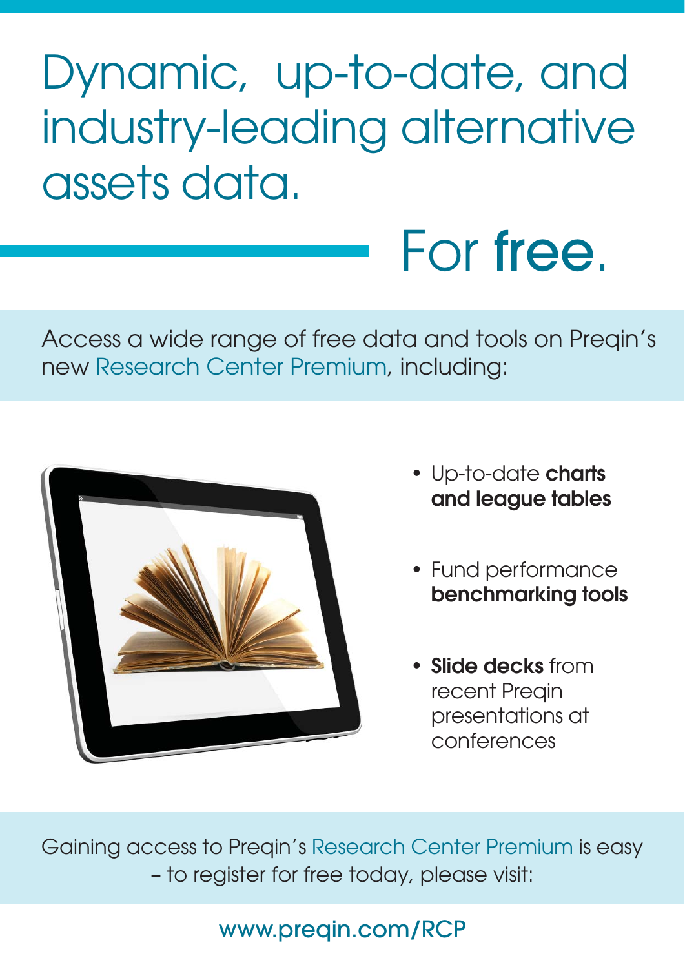# Dynamic, up-to-date, and industry-leading alternative assets data.

Access a wide range of free data and tools on Preqin's new Research Center Premium, including:



• Up-to-date **charts and league tables**

For free.

- Fund performance **benchmarking tools**
- **Slide decks** from recent Preqin presentations at conferences

Gaining access to Preqin's Research Center Premium is easy – to register for free today, please visit:

### [www.preqin.com/RCP](www.preqin.com/rcp)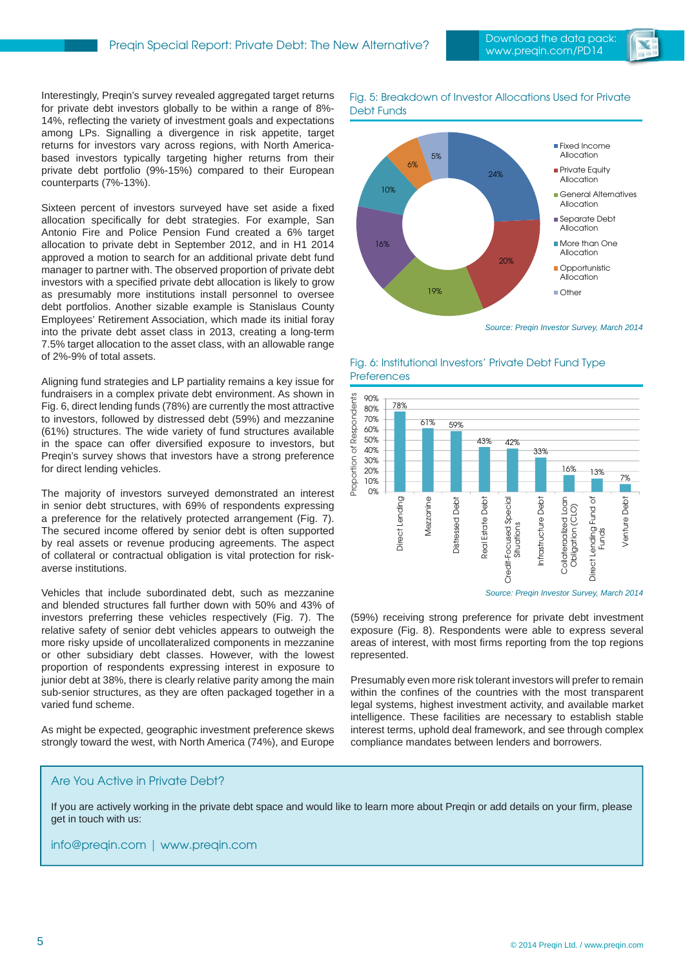

Interestingly, Preqin's survey revealed aggregated target returns for private debt investors globally to be within a range of 8%- 14%, reflecting the variety of investment goals and expectations among LPs. Signalling a divergence in risk appetite, target returns for investors vary across regions, with North Americabased investors typically targeting higher returns from their private debt portfolio (9%-15%) compared to their European counterparts (7%-13%).

Sixteen percent of investors surveyed have set aside a fixed allocation specifically for debt strategies. For example, San Antonio Fire and Police Pension Fund created a 6% target allocation to private debt in September 2012, and in H1 2014 approved a motion to search for an additional private debt fund manager to partner with. The observed proportion of private debt investors with a specified private debt allocation is likely to grow as presumably more institutions install personnel to oversee debt portfolios. Another sizable example is Stanislaus County Employees' Retirement Association, which made its initial foray into the private debt asset class in 2013, creating a long-term 7.5% target allocation to the asset class, with an allowable range of 2%-9% of total assets.

Aligning fund strategies and LP partiality remains a key issue for fundraisers in a complex private debt environment. As shown in Fig. 6, direct lending funds (78%) are currently the most attractive to investors, followed by distressed debt (59%) and mezzanine (61%) structures. The wide variety of fund structures available in the space can offer diversified exposure to investors, but Preqin's survey shows that investors have a strong preference for direct lending vehicles.

The majority of investors surveyed demonstrated an interest in senior debt structures, with 69% of respondents expressing a preference for the relatively protected arrangement (Fig. 7). The secured income offered by senior debt is often supported by real assets or revenue producing agreements. The aspect of collateral or contractual obligation is vital protection for riskaverse institutions.

Vehicles that include subordinated debt, such as mezzanine and blended structures fall further down with 50% and 43% of investors preferring these vehicles respectively (Fig. 7). The relative safety of senior debt vehicles appears to outweigh the more risky upside of uncollateralized components in mezzanine or other subsidiary debt classes. However, with the lowest proportion of respondents expressing interest in exposure to junior debt at 38%, there is clearly relative parity among the main sub-senior structures, as they are often packaged together in a varied fund scheme.

As might be expected, geographic investment preference skews strongly toward the west, with North America (74%), and Europe

Fig. 5: Breakdown of Investor Allocations Used for Private Debt Funds



*Source: Preqin Investor Survey, March 2014*

#### Fig. 6: Institutional Investors' Private Debt Fund Type **Preferences**



*Source: Preqin Investor Survey, March 2014*

(59%) receiving strong preference for private debt investment exposure (Fig. 8). Respondents were able to express several areas of interest, with most firms reporting from the top regions represented.

Presumably even more risk tolerant investors will prefer to remain within the confines of the countries with the most transparent legal systems, highest investment activity, and available market intelligence. These facilities are necessary to establish stable interest terms, uphold deal framework, and see through complex compliance mandates between lenders and borrowers.

#### Are You Active in Private Debt?

If you are actively working in the private debt space and would like to learn more about Preqin or add details on your firm, please get in touch with us:

[info@preqin.com](mailto:info@preqin.com) | <www.preqin.com>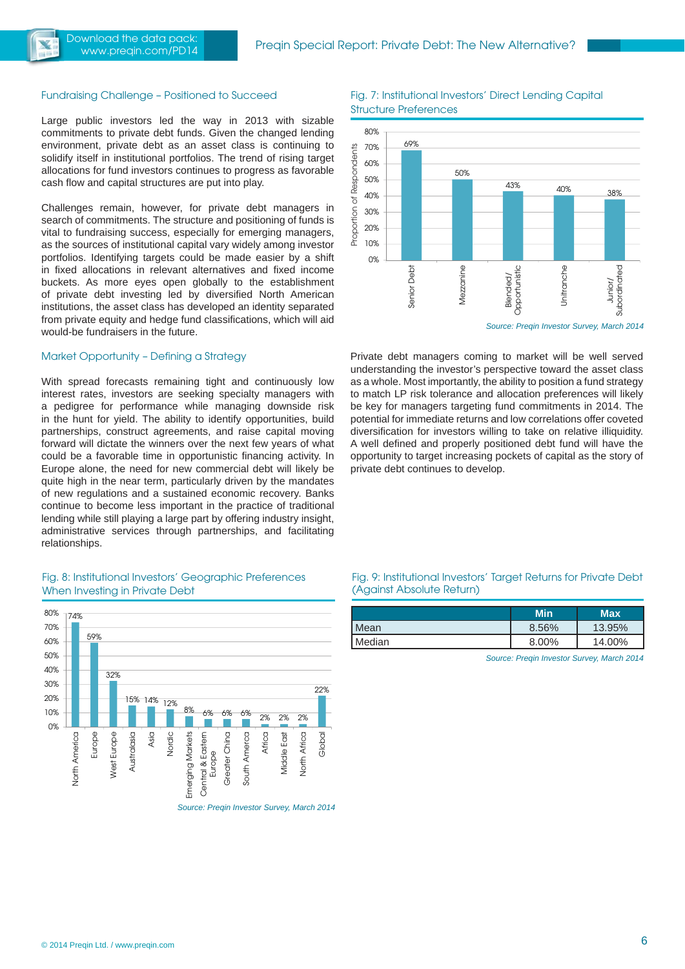

#### Fundraising Challenge – Positioned to Succeed

Large public investors led the way in 2013 with sizable commitments to private debt funds. Given the changed lending environment, private debt as an asset class is continuing to solidify itself in institutional portfolios. The trend of rising target allocations for fund investors continues to progress as favorable cash flow and capital structures are put into play.

Challenges remain, however, for private debt managers in search of commitments. The structure and positioning of funds is vital to fundraising success, especially for emerging managers, as the sources of institutional capital vary widely among investor portfolios. Identifying targets could be made easier by a shift in fixed allocations in relevant alternatives and fixed income buckets. As more eyes open globally to the establishment of private debt investing led by diversified North American institutions, the asset class has developed an identity separated from private equity and hedge fund classifications, which will aid would-be fundraisers in the future.

#### Market Opportunity – Defining a Strategy

With spread forecasts remaining tight and continuously low interest rates, investors are seeking specialty managers with a pedigree for performance while managing downside risk in the hunt for yield. The ability to identify opportunities, build partnerships, construct agreements, and raise capital moving forward will dictate the winners over the next few years of what could be a favorable time in opportunistic financing activity. In Europe alone, the need for new commercial debt will likely be quite high in the near term, particularly driven by the mandates of new regulations and a sustained economic recovery. Banks continue to become less important in the practice of traditional lending while still playing a large part by offering industry insight, administrative services through partnerships, and facilitating relationships.

#### Fig. 8: Institutional Investors' Geographic Preferences When Investing in Private Debt



*Source: Preqin Investor Survey, March 2014*

Fig. 7: Institutional Investors' Direct Lending Capital Structure Preferences



*Source: Preqin Investor Survey, March 2014*

Private debt managers coming to market will be well served understanding the investor's perspective toward the asset class as a whole. Most importantly, the ability to position a fund strategy to match LP risk tolerance and allocation preferences will likely be key for managers targeting fund commitments in 2014. The potential for immediate returns and low correlations offer coveted diversification for investors willing to take on relative illiquidity. A well defined and properly positioned debt fund will have the opportunity to target increasing pockets of capital as the story of private debt continues to develop.

#### Fig. 9: Institutional Investors' Target Returns for Private Debt (Against Absolute Return)

|        | Min   | <b>Max</b> |
|--------|-------|------------|
| Mean   | 8.56% | 13.95%     |
| Median | 8.00% | 14.00%     |

*Source: Preqin Investor Survey, March 2014*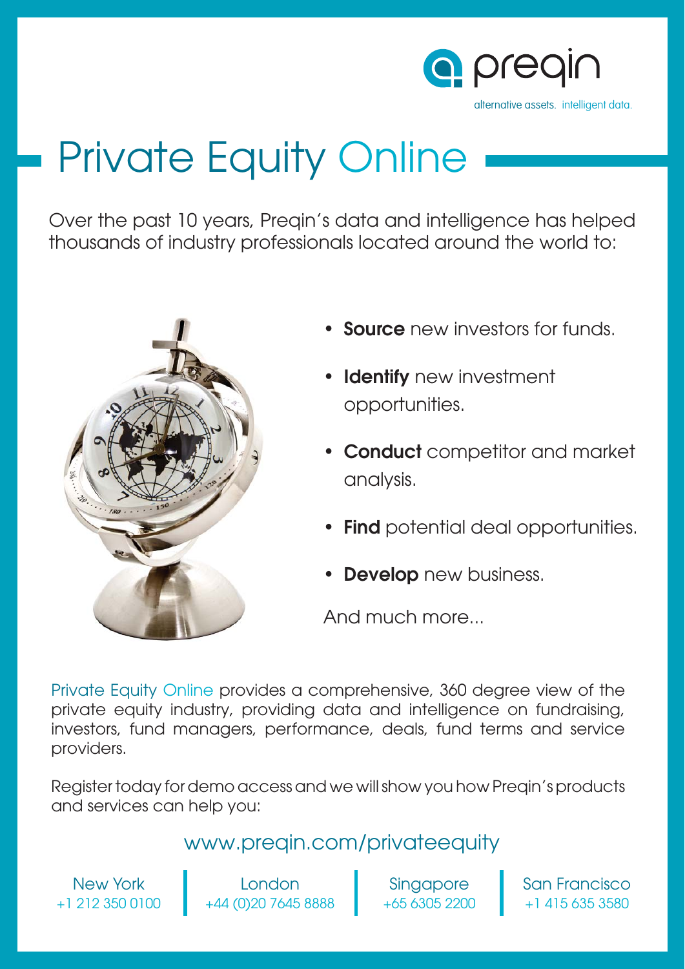

# Private Equity Online

Over the past 10 years, Preqin's data and intelligence has helped thousands of industry professionals located around the world to:



- **Source** new investors for funds.
- **Identify** new investment opportunities.
- **Conduct** competitor and market analysis.
- **Find** potential deal opportunities.
- **Develop** new business.

And much more...

Private Equity Online provides a comprehensive, 360 degree view of the private equity industry, providing data and intelligence on fundraising, investors, fund managers, performance, deals, fund terms and service providers.

Register today for demo access and we will show you how Preqin's products and services can help you:

### <www.preqin.com/privateequity>

New York +1 212 350 0100

London +44 (0)20 7645 8888

Singapore +65 6305 2200 San Francisco +1 415 635 3580